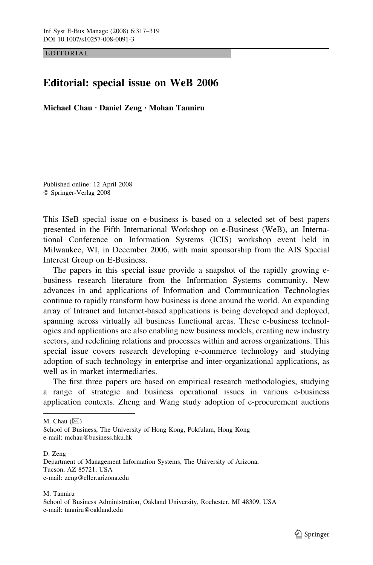EDITORIAL

## Editorial: special issue on WeB 2006

Michael Chau  $\cdot$  Daniel Zeng  $\cdot$  Mohan Tanniru

Published online: 12 April 2008 Springer-Verlag 2008

This ISeB special issue on e-business is based on a selected set of best papers presented in the Fifth International Workshop on e-Business (WeB), an International Conference on Information Systems (ICIS) workshop event held in Milwaukee, WI, in December 2006, with main sponsorship from the AIS Special Interest Group on E-Business.

The papers in this special issue provide a snapshot of the rapidly growing ebusiness research literature from the Information Systems community. New advances in and applications of Information and Communication Technologies continue to rapidly transform how business is done around the world. An expanding array of Intranet and Internet-based applications is being developed and deployed, spanning across virtually all business functional areas. These e-business technologies and applications are also enabling new business models, creating new industry sectors, and redefining relations and processes within and across organizations. This special issue covers research developing e-commerce technology and studying adoption of such technology in enterprise and inter-organizational applications, as well as in market intermediaries.

The first three papers are based on empirical research methodologies, studying a range of strategic and business operational issues in various e-business application contexts. Zheng and Wang study adoption of e-procurement auctions

M. Chau  $(\boxtimes)$ 

D. Zeng Department of Management Information Systems, The University of Arizona, Tucson, AZ 85721, USA e-mail: zeng@eller.arizona.edu

M. Tanniru School of Business Administration, Oakland University, Rochester, MI 48309, USA e-mail: tanniru@oakland.edu

School of Business, The University of Hong Kong, Pokfulam, Hong Kong e-mail: mchau@business.hku.hk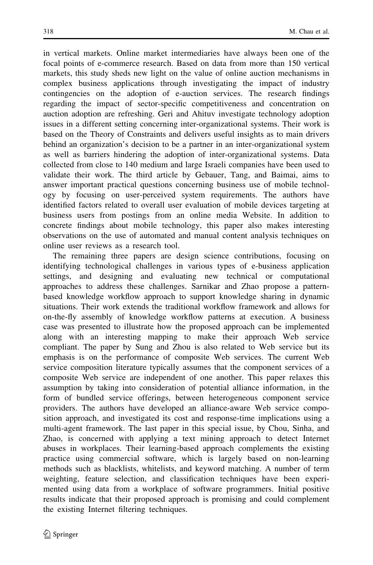in vertical markets. Online market intermediaries have always been one of the focal points of e-commerce research. Based on data from more than 150 vertical markets, this study sheds new light on the value of online auction mechanisms in complex business applications through investigating the impact of industry contingencies on the adoption of e-auction services. The research findings regarding the impact of sector-specific competitiveness and concentration on auction adoption are refreshing. Geri and Ahituv investigate technology adoption issues in a different setting concerning inter-organizational systems. Their work is based on the Theory of Constraints and delivers useful insights as to main drivers behind an organization's decision to be a partner in an inter-organizational system as well as barriers hindering the adoption of inter-organizational systems. Data collected from close to 140 medium and large Israeli companies have been used to validate their work. The third article by Gebauer, Tang, and Baimai, aims to answer important practical questions concerning business use of mobile technology by focusing on user-perceived system requirements. The authors have identified factors related to overall user evaluation of mobile devices targeting at business users from postings from an online media Website. In addition to concrete findings about mobile technology, this paper also makes interesting observations on the use of automated and manual content analysis techniques on online user reviews as a research tool.

The remaining three papers are design science contributions, focusing on identifying technological challenges in various types of e-business application settings, and designing and evaluating new technical or computational approaches to address these challenges. Sarnikar and Zhao propose a patternbased knowledge workflow approach to support knowledge sharing in dynamic situations. Their work extends the traditional workflow framework and allows for on-the-fly assembly of knowledge workflow patterns at execution. A business case was presented to illustrate how the proposed approach can be implemented along with an interesting mapping to make their approach Web service compliant. The paper by Sung and Zhou is also related to Web service but its emphasis is on the performance of composite Web services. The current Web service composition literature typically assumes that the component services of a composite Web service are independent of one another. This paper relaxes this assumption by taking into consideration of potential alliance information, in the form of bundled service offerings, between heterogeneous component service providers. The authors have developed an alliance-aware Web service composition approach, and investigated its cost and response-time implications using a multi-agent framework. The last paper in this special issue, by Chou, Sinha, and Zhao, is concerned with applying a text mining approach to detect Internet abuses in workplaces. Their learning-based approach complements the existing practice using commercial software, which is largely based on non-learning methods such as blacklists, whitelists, and keyword matching. A number of term weighting, feature selection, and classification techniques have been experimented using data from a workplace of software programmers. Initial positive results indicate that their proposed approach is promising and could complement the existing Internet filtering techniques.